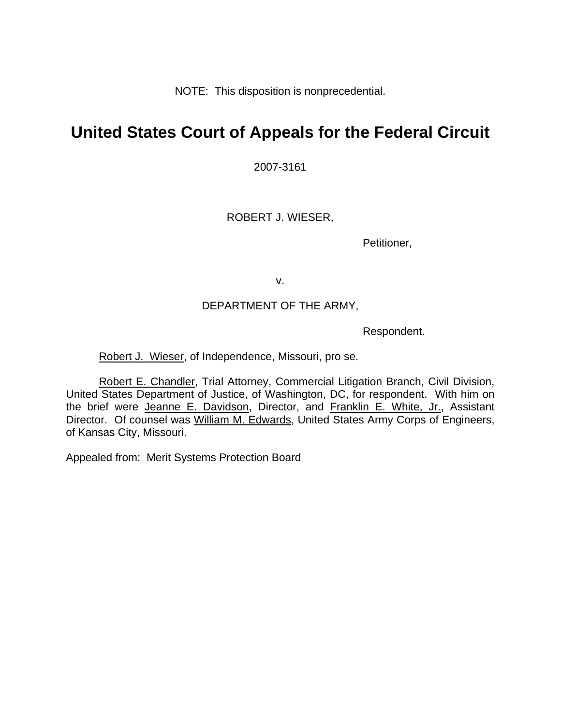NOTE: This disposition is nonprecedential.

# **United States Court of Appeals for the Federal Circuit**

2007-3161

ROBERT J. WIESER,

Petitioner,

v.

### DEPARTMENT OF THE ARMY,

Respondent.

Robert J. Wieser, of Independence, Missouri, pro se.

Robert E. Chandler, Trial Attorney, Commercial Litigation Branch, Civil Division, United States Department of Justice, of Washington, DC, for respondent. With him on the brief were Jeanne E. Davidson, Director, and Franklin E. White, Jr., Assistant Director. Of counsel was William M. Edwards, United States Army Corps of Engineers, of Kansas City, Missouri.

Appealed from: Merit Systems Protection Board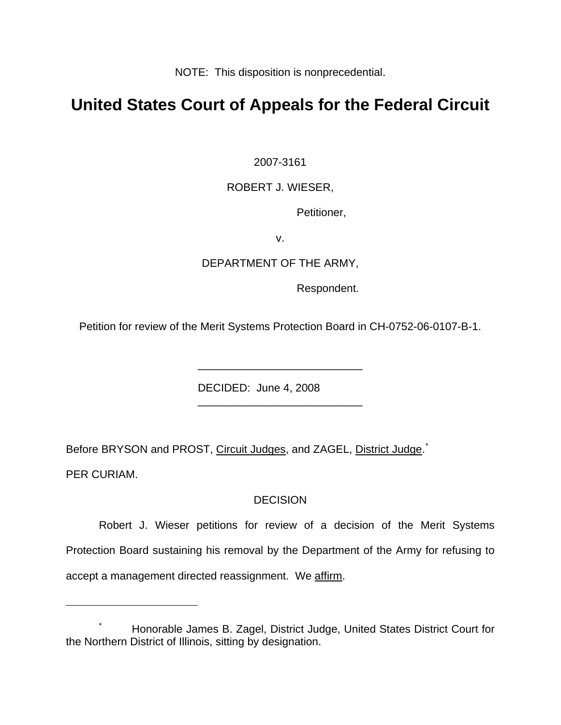NOTE: This disposition is nonprecedential.

## **United States Court of Appeals for the Federal Circuit**

2007-3161

### ROBERT J. WIESER,

Petitioner,

v.

### DEPARTMENT OF THE ARMY,

Respondent.

Petition for review of the Merit Systems Protection Board in CH-0752-06-0107-B-1.

\_\_\_\_\_\_\_\_\_\_\_\_\_\_\_\_\_\_\_\_\_\_\_\_\_\_\_

\_\_\_\_\_\_\_\_\_\_\_\_\_\_\_\_\_\_\_\_\_\_\_\_\_\_\_

DECIDED: June 4, 2008

Before BRYSON and PROST, Circuit Judges, and ZAGEL, District Judge.<sup>[\\*](#page-1-0)</sup>

PER CURIAM.

 $\overline{a}$ 

## DECISION

Robert J. Wieser petitions for review of a decision of the Merit Systems Protection Board sustaining his removal by the Department of the Army for refusing to accept a management directed reassignment. We affirm.

<span id="page-1-0"></span><sup>\*</sup> Honorable James B. Zagel, District Judge, United States District Court for the Northern District of Illinois, sitting by designation.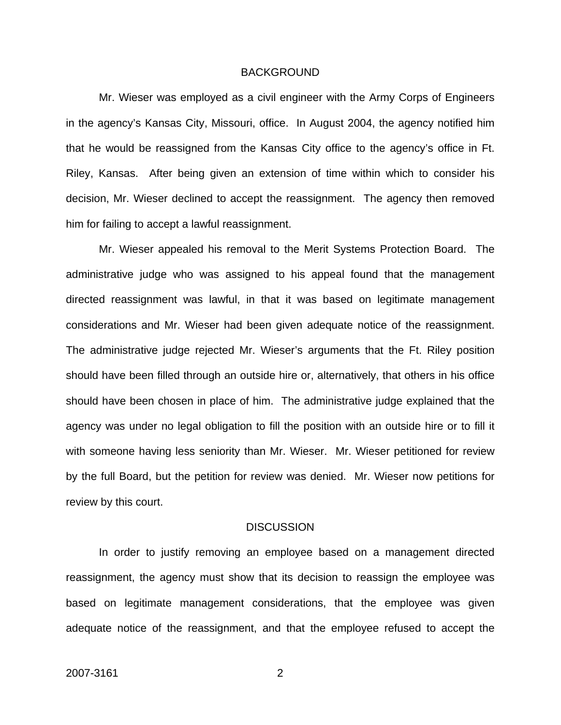#### BACKGROUND

 Mr. Wieser was employed as a civil engineer with the Army Corps of Engineers in the agency's Kansas City, Missouri, office. In August 2004, the agency notified him that he would be reassigned from the Kansas City office to the agency's office in Ft. Riley, Kansas. After being given an extension of time within which to consider his decision, Mr. Wieser declined to accept the reassignment. The agency then removed him for failing to accept a lawful reassignment.

 Mr. Wieser appealed his removal to the Merit Systems Protection Board. The administrative judge who was assigned to his appeal found that the management directed reassignment was lawful, in that it was based on legitimate management considerations and Mr. Wieser had been given adequate notice of the reassignment. The administrative judge rejected Mr. Wieser's arguments that the Ft. Riley position should have been filled through an outside hire or, alternatively, that others in his office should have been chosen in place of him. The administrative judge explained that the agency was under no legal obligation to fill the position with an outside hire or to fill it with someone having less seniority than Mr. Wieser. Mr. Wieser petitioned for review by the full Board, but the petition for review was denied. Mr. Wieser now petitions for review by this court.

#### **DISCUSSION**

 In order to justify removing an employee based on a management directed reassignment, the agency must show that its decision to reassign the employee was based on legitimate management considerations, that the employee was given adequate notice of the reassignment, and that the employee refused to accept the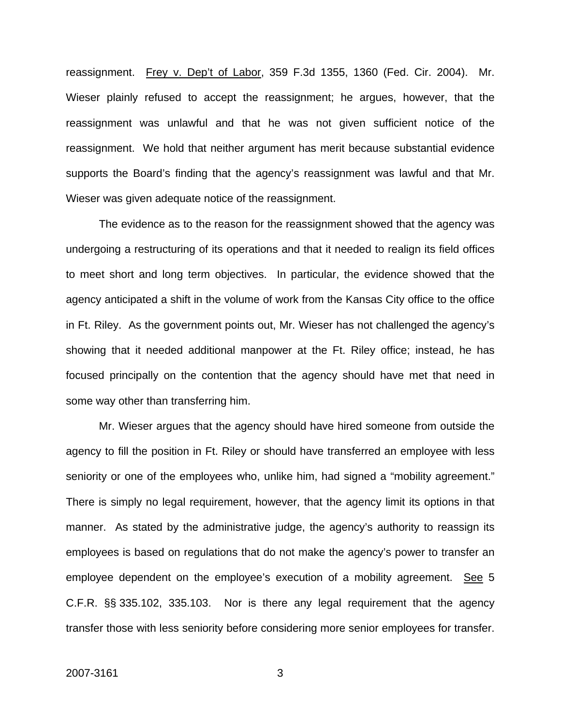reassignment. Frey v. Dep't of Labor, 359 F.3d 1355, 1360 (Fed. Cir. 2004). Mr. Wieser plainly refused to accept the reassignment; he argues, however, that the reassignment was unlawful and that he was not given sufficient notice of the reassignment. We hold that neither argument has merit because substantial evidence supports the Board's finding that the agency's reassignment was lawful and that Mr. Wieser was given adequate notice of the reassignment.

 The evidence as to the reason for the reassignment showed that the agency was undergoing a restructuring of its operations and that it needed to realign its field offices to meet short and long term objectives. In particular, the evidence showed that the agency anticipated a shift in the volume of work from the Kansas City office to the office in Ft. Riley. As the government points out, Mr. Wieser has not challenged the agency's showing that it needed additional manpower at the Ft. Riley office; instead, he has focused principally on the contention that the agency should have met that need in some way other than transferring him.

 Mr. Wieser argues that the agency should have hired someone from outside the agency to fill the position in Ft. Riley or should have transferred an employee with less seniority or one of the employees who, unlike him, had signed a "mobility agreement." There is simply no legal requirement, however, that the agency limit its options in that manner. As stated by the administrative judge, the agency's authority to reassign its employees is based on regulations that do not make the agency's power to transfer an employee dependent on the employee's execution of a mobility agreement. See 5 C.F.R. §§ 335.102, 335.103. Nor is there any legal requirement that the agency transfer those with less seniority before considering more senior employees for transfer.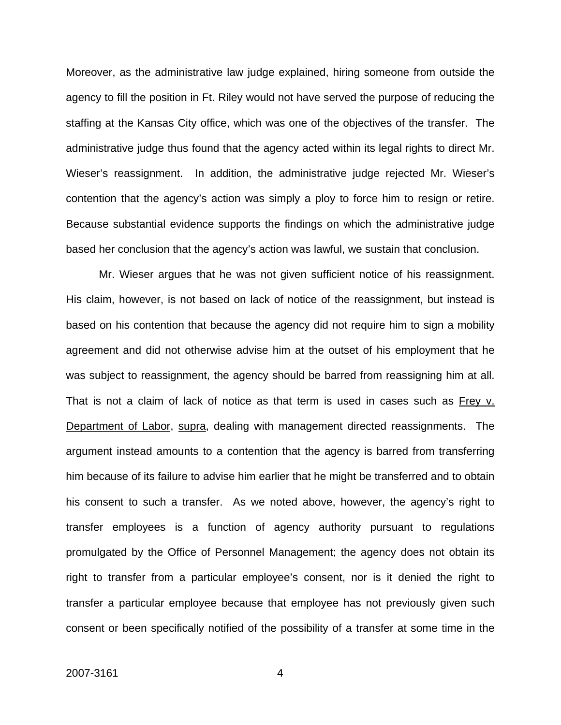Moreover, as the administrative law judge explained, hiring someone from outside the agency to fill the position in Ft. Riley would not have served the purpose of reducing the staffing at the Kansas City office, which was one of the objectives of the transfer. The administrative judge thus found that the agency acted within its legal rights to direct Mr. Wieser's reassignment. In addition, the administrative judge rejected Mr. Wieser's contention that the agency's action was simply a ploy to force him to resign or retire. Because substantial evidence supports the findings on which the administrative judge based her conclusion that the agency's action was lawful, we sustain that conclusion.

Mr. Wieser argues that he was not given sufficient notice of his reassignment. His claim, however, is not based on lack of notice of the reassignment, but instead is based on his contention that because the agency did not require him to sign a mobility agreement and did not otherwise advise him at the outset of his employment that he was subject to reassignment, the agency should be barred from reassigning him at all. That is not a claim of lack of notice as that term is used in cases such as Frey v. Department of Labor, supra, dealing with management directed reassignments. The argument instead amounts to a contention that the agency is barred from transferring him because of its failure to advise him earlier that he might be transferred and to obtain his consent to such a transfer. As we noted above, however, the agency's right to transfer employees is a function of agency authority pursuant to regulations promulgated by the Office of Personnel Management; the agency does not obtain its right to transfer from a particular employee's consent, nor is it denied the right to transfer a particular employee because that employee has not previously given such consent or been specifically notified of the possibility of a transfer at some time in the